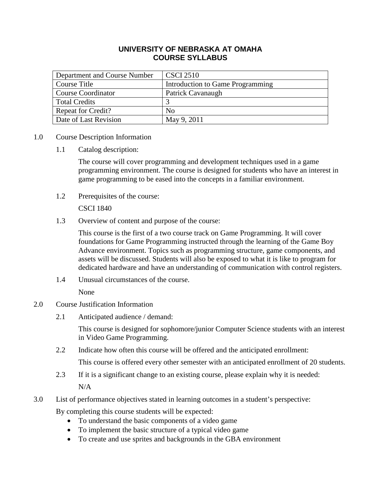# **UNIVERSITY OF NEBRASKA AT OMAHA COURSE SYLLABUS**

| Department and Course Number | <b>CSCI 2510</b>                 |
|------------------------------|----------------------------------|
| Course Title                 | Introduction to Game Programming |
| <b>Course Coordinator</b>    | Patrick Cavanaugh                |
| <b>Total Credits</b>         |                                  |
| <b>Repeat for Credit?</b>    | No                               |
| Date of Last Revision        | May 9, 2011                      |

- 1.0 Course Description Information
	- 1.1 Catalog description:

The course will cover programming and development techniques used in a game programming environment. The course is designed for students who have an interest in game programming to be eased into the concepts in a familiar environment.

1.2 Prerequisites of the course:

CSCI 1840

1.3 Overview of content and purpose of the course:

This course is the first of a two course track on Game Programming. It will cover foundations for Game Programming instructed through the learning of the Game Boy Advance environment. Topics such as programming structure, game components, and assets will be discussed. Students will also be exposed to what it is like to program for dedicated hardware and have an understanding of communication with control registers.

1.4 Unusual circumstances of the course.

None

- 2.0 Course Justification Information
	- 2.1 Anticipated audience / demand:

This course is designed for sophomore/junior Computer Science students with an interest in Video Game Programming.

2.2 Indicate how often this course will be offered and the anticipated enrollment:

This course is offered every other semester with an anticipated enrollment of 20 students.

- 2.3 If it is a significant change to an existing course, please explain why it is needed: N/A
- 3.0 List of performance objectives stated in learning outcomes in a student's perspective:

By completing this course students will be expected:

- To understand the basic components of a video game
- To implement the basic structure of a typical video game
- To create and use sprites and backgrounds in the GBA environment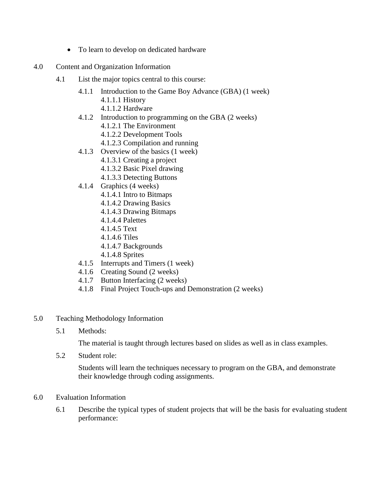- To learn to develop on dedicated hardware
- 4.0 Content and Organization Information
	- 4.1 List the major topics central to this course:
		- 4.1.1 Introduction to the Game Boy Advance (GBA) (1 week) 4.1.1.1 History
			- 4.1.1.2 Hardware
		- 4.1.2 Introduction to programming on the GBA (2 weeks)
			- 4.1.2.1 The Environment
			- 4.1.2.2 Development Tools
			- 4.1.2.3 Compilation and running
		- 4.1.3 Overview of the basics (1 week)
			- 4.1.3.1 Creating a project
			- 4.1.3.2 Basic Pixel drawing
			- 4.1.3.3 Detecting Buttons
		- 4.1.4 Graphics (4 weeks)
			- 4.1.4.1 Intro to Bitmaps
			- 4.1.4.2 Drawing Basics
			- 4.1.4.3 Drawing Bitmaps
			- 4.1.4.4 Palettes
			- 4.1.4.5 Text
			- 4.1.4.6 Tiles
			- 4.1.4.7 Backgrounds
			- 4.1.4.8 Sprites
		- 4.1.5 Interrupts and Timers (1 week)
		- 4.1.6 Creating Sound (2 weeks)
		- 4.1.7 Button Interfacing (2 weeks)
		- 4.1.8 Final Project Touch-ups and Demonstration (2 weeks)
- 5.0 Teaching Methodology Information
	- 5.1 Methods:

The material is taught through lectures based on slides as well as in class examples.

5.2 Student role:

Students will learn the techniques necessary to program on the GBA, and demonstrate their knowledge through coding assignments.

- 6.0 Evaluation Information
	- 6.1 Describe the typical types of student projects that will be the basis for evaluating student performance: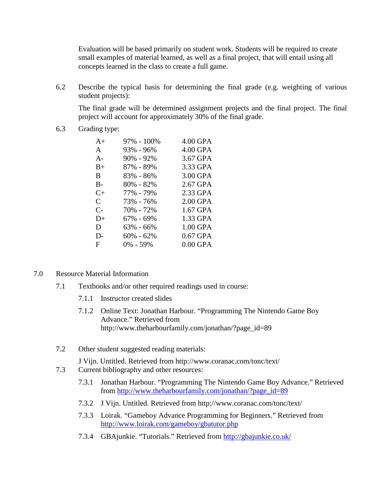Evaluation will be based primarily on student work. Students will be required to create small examples of material learned, as well as a final project, that will entail using all concepts learned in the class to create a full game.

6.2 Describe the typical basis for determining the final grade (e.g. weighting of various student projects):

The final grade will be determined assignment projects and the final project. The final project will account for approximately 30% of the final grade.

6.3 Grading type:

| $A+$      | $97\% - 100\%$ | 4.00 GPA   |
|-----------|----------------|------------|
| A         | 93% - 96%      | 4.00 GPA   |
| $A -$     | $90\% - 92\%$  | 3.67 GPA   |
| $B+$      | 87% - 89%      | 3.33 GPA   |
| B.        | 83% - 86%      | 3.00 GPA   |
| $B -$     | 80% - 82%      | 2.67 GPA   |
| $C_{\pm}$ | 77% - 79%      | 2.33 GPA   |
| C         | 73% - 76%      | 2.00 GPA   |
| $C-$      | 70% - 72%      | 1.67 GPA   |
| $D+$      | 67% - 69%      | 1.33 GPA   |
| D         | $63\% - 66\%$  | 1.00 GPA   |
| D-        | $60\% - 62\%$  | $0.67$ GPA |
| F         | $0\% - 59\%$   | $0.00$ GPA |
|           |                |            |

- 7.0 Resource Material Information
	- 7.1 Textbooks and/or other required readings used in course:
		- 7.1.1 Instructor created slides
		- 7.1.2 Online Text: Jonathan Harbour. "Programming The Nintendo Game Boy Advance." Retrieved from http://www.theharbourfamily.com/jonathan/?page\_id=89
	- 7.2 Other student suggested reading materials:

J Vijn. Untitled. Retrieved from http://www.coranac.com/tonc/text/

- 7.3 Current bibliography and other resources:
	- 7.3.1 Jonathan Harbour. "Programming The Nintendo Game Boy Advance." Retrieved from [http://www.theharbourfamily.com/jonathan/?page\\_id=89](http://www.theharbourfamily.com/jonathan/?page_id=89)
	- 7.3.2 J Vijn. Untitled. Retrieved from http://www.coranac.com/tonc/text/
	- 7.3.3 Loirak. "Gameboy Advance Programming for Beginners." Retrieved from <http://www.loirak.com/gameboy/gbatutor.php>
	- 7.3.4 GBAjunkie. "Tutorials." Retrieved from<http://gbajunkie.co.uk/>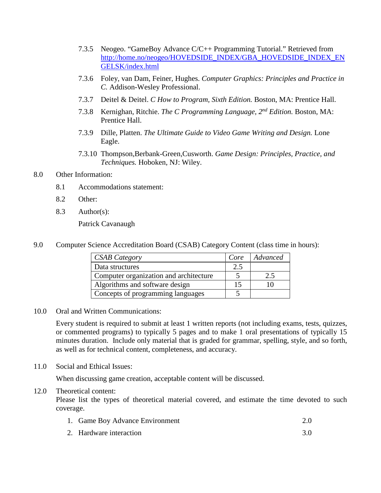- 7.3.5 Neogeo. "GameBoy Advance C/C++ Programming Tutorial." Retrieved from [http://home.no/neogeo/HOVEDSIDE\\_INDEX/GBA\\_HOVEDSIDE\\_INDEX\\_EN](http://home.no/neogeo/HOVEDSIDE_INDEX/GBA_HOVEDSIDE_INDEX_ENGELSK/index.html) [GELSK/index.html](http://home.no/neogeo/HOVEDSIDE_INDEX/GBA_HOVEDSIDE_INDEX_ENGELSK/index.html)
- 7.3.6 Foley, van Dam, Feiner, Hughes. *Computer Graphics: Principles and Practice in C.* Addison-Wesley Professional.
- 7.3.7 Deitel & Deitel. *C How to Program, Sixth Edition.* Boston, MA: Prentice Hall.
- 7.3.8 Kernighan, Ritchie. *The C Programming Language, 2nd Edition.* Boston, MA: Prentice Hall.
- 7.3.9 Dille, Platten. *The Ultimate Guide to Video Game Writing and Design.* Lone Eagle.
- 7.3.10 Thompson,Berbank-Green,Cusworth. *Game Design: Principles, Practice, and Techniques.* Hoboken, NJ: Wiley.
- 8.0 Other Information:
	- 8.1 Accommodations statement:
	- 8.2 Other:
	- 8.3 Author(s):

Patrick Cavanaugh

9.0 Computer Science Accreditation Board (CSAB) Category Content (class time in hours):

| <b>CSAB Category</b>                   | Core | Advanced      |
|----------------------------------------|------|---------------|
| Data structures                        | 2.5  |               |
| Computer organization and architecture |      | $2.5^{\circ}$ |
| Algorithms and software design         |      |               |
| Concepts of programming languages      |      |               |

10.0 Oral and Written Communications:

Every student is required to submit at least 1 written reports (not including exams, tests, quizzes, or commented programs) to typically 5 pages and to make 1 oral presentations of typically 15 minutes duration. Include only material that is graded for grammar, spelling, style, and so forth, as well as for technical content, completeness, and accuracy.

11.0 Social and Ethical Issues:

When discussing game creation, acceptable content will be discussed.

# 12.0 Theoretical content:

Please list the types of theoretical material covered, and estimate the time devoted to such coverage.

- 1. Game Boy Advance Environment 2.0
- 2. Hardware interaction 3.0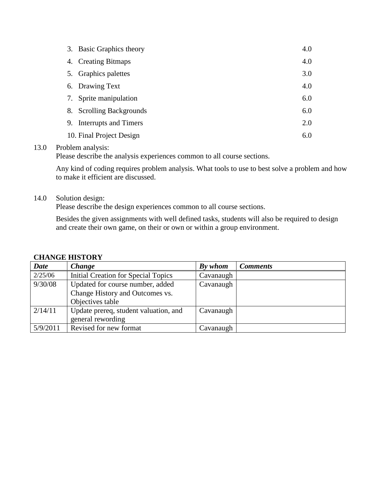|    | 3. Basic Graphics theory     | 4.0 |
|----|------------------------------|-----|
|    | 4. Creating Bitmaps          | 4.0 |
|    | 5. Graphics palettes         | 3.0 |
|    | 6. Drawing Text              | 4.0 |
| 7. | Sprite manipulation          | 6.0 |
| 8. | <b>Scrolling Backgrounds</b> | 6.0 |
| 9. | Interrupts and Timers        | 2.0 |
|    | 10. Final Project Design     | 6.0 |
|    |                              |     |

# 13.0 Problem analysis:

Please describe the analysis experiences common to all course sections.

Any kind of coding requires problem analysis. What tools to use to best solve a problem and how to make it efficient are discussed.

## 14.0 Solution design:

Please describe the design experiences common to all course sections.

Besides the given assignments with well defined tasks, students will also be required to design and create their own game, on their or own or within a group environment.

# **CHANGE HISTORY**

| <b>Date</b> | <b>Change</b>                         | By whom   | <b>Comments</b> |
|-------------|---------------------------------------|-----------|-----------------|
| 2/25/06     | Initial Creation for Special Topics   | Cavanaugh |                 |
| 9/30/08     | Updated for course number, added      | Cavanaugh |                 |
|             | Change History and Outcomes vs.       |           |                 |
|             | Objectives table                      |           |                 |
| 2/14/11     | Update prereq, student valuation, and | Cavanaugh |                 |
|             | general rewording                     |           |                 |
| 5/9/2011    | Revised for new format                | Cavanaugh |                 |